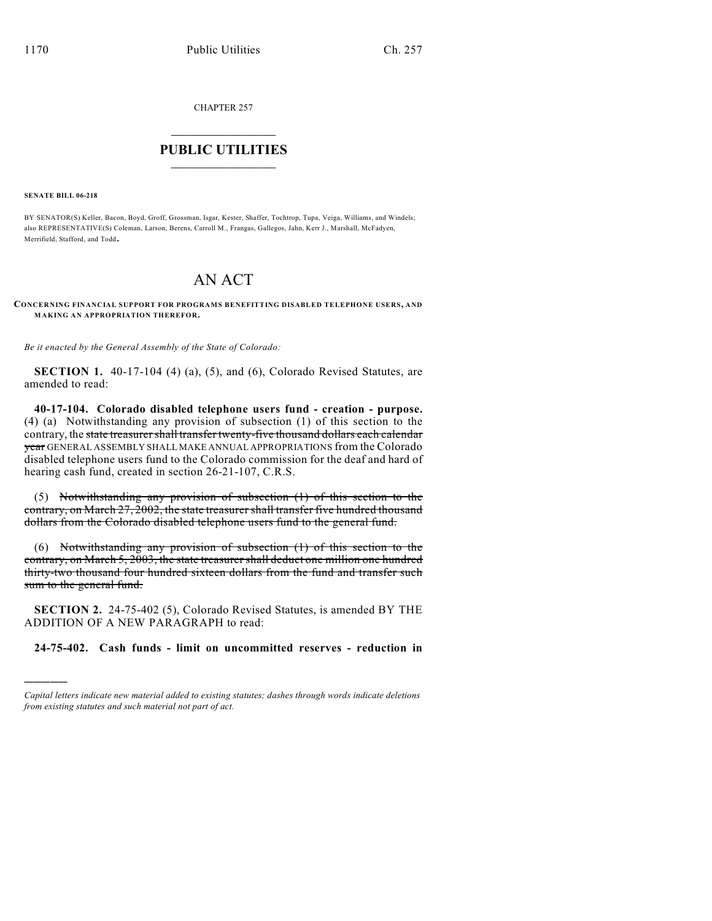CHAPTER 257

## $\overline{\phantom{a}}$  . The set of the set of the set of the set of the set of the set of the set of the set of the set of the set of the set of the set of the set of the set of the set of the set of the set of the set of the set o **PUBLIC UTILITIES** \_\_\_\_\_\_\_\_\_\_\_\_\_\_\_

**SENATE BILL 06-218**

)))))

BY SENATOR(S) Keller, Bacon, Boyd, Groff, Grossman, Isgar, Kester, Shaffer, Tochtrop, Tupa, Veiga, Williams, and Windels; also REPRESENTATIVE(S) Coleman, Larson, Berens, Carroll M., Frangas, Gallegos, Jahn, Kerr J., Marshall, McFadyen, Merrifield, Stafford, and Todd.

## AN ACT

**CONCERNING FINANCIAL SUPPORT FOR PROGRAMS BENEFITTING DISABLED TELEPHONE USERS, AND MAKING AN APPROPRIATION THEREFOR.**

*Be it enacted by the General Assembly of the State of Colorado:*

**SECTION 1.** 40-17-104 (4) (a), (5), and (6), Colorado Revised Statutes, are amended to read:

**40-17-104. Colorado disabled telephone users fund - creation - purpose.** (4) (a) Notwithstanding any provision of subsection (1) of this section to the contrary, the state treasurer shall transfer twenty-five thousand dollars each calendar year GENERAL ASSEMBLY SHALL MAKE ANNUAL APPROPRIATIONS from the Colorado disabled telephone users fund to the Colorado commission for the deaf and hard of hearing cash fund, created in section 26-21-107, C.R.S.

(5) Notwithstanding any provision of subsection (1) of this section to the contrary, on March 27, 2002, the state treasurer shall transfer five hundred thousand dollars from the Colorado disabled telephone users fund to the general fund.

(6) Notwithstanding any provision of subsection (1) of this section to the contrary, on March 5, 2003, the state treasurershall deduct one million one hundred thirty-two thousand four hundred sixteen dollars from the fund and transfer such sum to the general fund.

**SECTION 2.** 24-75-402 (5), Colorado Revised Statutes, is amended BY THE ADDITION OF A NEW PARAGRAPH to read:

**24-75-402. Cash funds - limit on uncommitted reserves - reduction in**

*Capital letters indicate new material added to existing statutes; dashes through words indicate deletions from existing statutes and such material not part of act.*